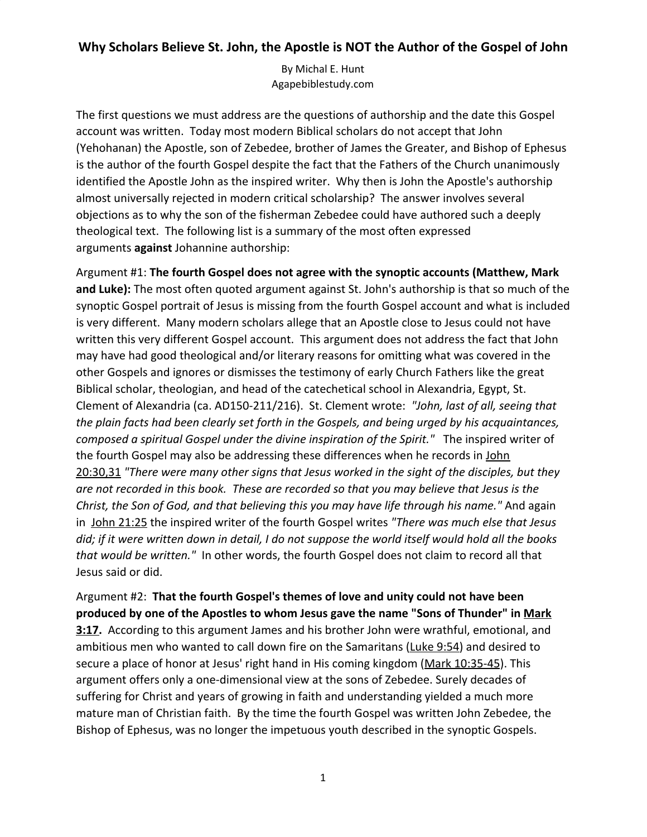## **Why Scholars Believe St. John, the Apostle is NOT the Author of the Gospel of John**

By Michal E. Hunt Agapebiblestudy.com

The first questions we must address are the questions of authorship and the date this Gospel account was written. Today most modern Biblical scholars do not accept that John (Yehohanan) the Apostle, son of Zebedee, brother of James the Greater, and Bishop of Ephesus is the author of the fourth Gospel despite the fact that the Fathers of the Church unanimously identified the Apostle John as the inspired writer. Why then is John the Apostle's authorship almost universally rejected in modern critical scholarship? The answer involves several objections as to why the son of the fisherman Zebedee could have authored such a deeply theological text. The following list is a summary of the most often expressed arguments **against** Johannine authorship:

Argument #1: **The fourth Gospel does not agree with the synoptic accounts (Matthew, Mark and Luke):** The most often quoted argument against St. John's authorship is that so much of the synoptic Gospel portrait of Jesus is missing from the fourth Gospel account and what is included is very different. Many modern scholars allege that an Apostle close to Jesus could not have written this very different Gospel account. This argument does not address the fact that John may have had good theological and/or literary reasons for omitting what was covered in the other Gospels and ignores or dismisses the testimony of early Church Fathers like the great Biblical scholar, theologian, and head of the catechetical school in Alexandria, Egypt, St. Clement of Alexandria (ca. AD150-211/216). St. Clement wrote: *"John, last of all, seeing that the plain facts had been clearly set forth in the Gospels, and being urged by his acquaintances, composed a spiritual Gospel under the divine inspiration of the Spirit."* The inspired writer of the fourth Gospel may also be addressing these differences when he records in [John](http://www.usccb.org/bible/john20:30) [20:30,31](http://www.usccb.org/bible/john20:30) *"There were many other signs that Jesus worked in the sight of the disciples, but they are not recorded in this book. These are recorded so that you may believe that Jesus is the Christ, the Son of God, and that believing this you may have life through his name."* And again in [John 21:25](http://www.usccb.org/bible/john21:25) the inspired writer of the fourth Gospel writes *"There was much else that Jesus did; if it were written down in detail, I do not suppose the world itself would hold all the books that would be written."* In other words, the fourth Gospel does not claim to record all that Jesus said or did.

Argument #2: **That the fourth Gospel's themes of love and unity could not have been produced by one of the Apostles to whom Jesus gave the name "Sons of Thunder" in [Mark](http://www.usccb.org/bible/mark3:17) [3:17.](http://www.usccb.org/bible/mark3:17)** According to this argument James and his brother John were wrathful, emotional, and ambitious men who wanted to call down fire on the Samaritans ([Luke 9:54\)](http://www.usccb.org/bible/luke9:54) and desired to secure a place of honor at Jesus' right hand in His coming kingdom ([Mark 10:35-45](http://www.usccb.org/bible/mark10:35)). This argument offers only a one-dimensional view at the sons of Zebedee. Surely decades of suffering for Christ and years of growing in faith and understanding yielded a much more mature man of Christian faith. By the time the fourth Gospel was written John Zebedee, the Bishop of Ephesus, was no longer the impetuous youth described in the synoptic Gospels.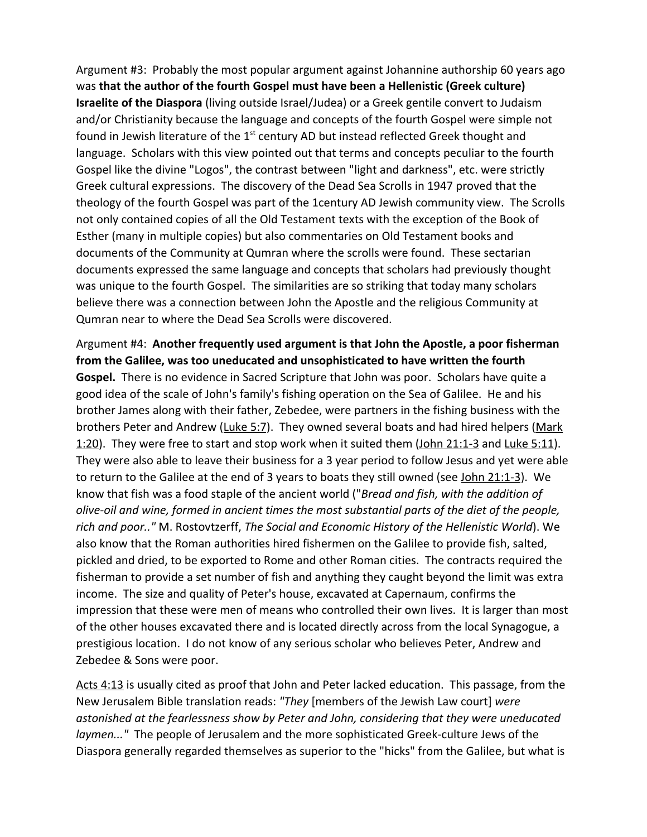Argument #3: Probably the most popular argument against Johannine authorship 60 years ago was **that the author of the fourth Gospel must have been a Hellenistic (Greek culture) Israelite of the Diaspora** (living outside Israel/Judea) or a Greek gentile convert to Judaism and/or Christianity because the language and concepts of the fourth Gospel were simple not found in Jewish literature of the  $1<sup>st</sup>$  century AD but instead reflected Greek thought and language. Scholars with this view pointed out that terms and concepts peculiar to the fourth Gospel like the divine "Logos", the contrast between "light and darkness", etc. were strictly Greek cultural expressions. The discovery of the Dead Sea Scrolls in 1947 proved that the theology of the fourth Gospel was part of the 1century AD Jewish community view. The Scrolls not only contained copies of all the Old Testament texts with the exception of the Book of Esther (many in multiple copies) but also commentaries on Old Testament books and documents of the Community at Qumran where the scrolls were found. These sectarian documents expressed the same language and concepts that scholars had previously thought was unique to the fourth Gospel. The similarities are so striking that today many scholars believe there was a connection between John the Apostle and the religious Community at Qumran near to where the Dead Sea Scrolls were discovered.

Argument #4: **Another frequently used argument is that John the Apostle, a poor fisherman from the Galilee, was too uneducated and unsophisticated to have written the fourth Gospel.** There is no evidence in Sacred Scripture that John was poor. Scholars have quite a good idea of the scale of John's family's fishing operation on the Sea of Galilee. He and his brother James along with their father, Zebedee, were partners in the fishing business with the brothers Peter and Andrew ([Luke 5:7](http://www.usccb.org/bible/luke5:7)). They owned several boats and had hired helpers ([Mark](http://www.usccb.org/bible/mark1:20) [1:20\)](http://www.usccb.org/bible/mark1:20). They were free to start and stop work when it suited them ([John 21:1-3](http://www.usccb.org/bible/john21:1) and [Luke 5:11](http://www.usccb.org/bible/luke5:11)). They were also able to leave their business for a 3 year period to follow Jesus and yet were able to return to the Galilee at the end of 3 years to boats they still owned (see [John 21:1-3\)](http://www.usccb.org/bible/john21:1). We know that fish was a food staple of the ancient world ("*Bread and fish, with the addition of olive-oil and wine, formed in ancient times the most substantial parts of the diet of the people, rich and poor.."* M. Rostovtzerff, *The Social and Economic History of the Hellenistic World*). We also know that the Roman authorities hired fishermen on the Galilee to provide fish, salted, pickled and dried, to be exported to Rome and other Roman cities. The contracts required the fisherman to provide a set number of fish and anything they caught beyond the limit was extra income. The size and quality of Peter's house, excavated at Capernaum, confirms the impression that these were men of means who controlled their own lives. It is larger than most of the other houses excavated there and is located directly across from the local Synagogue, a prestigious location. I do not know of any serious scholar who believes Peter, Andrew and Zebedee & Sons were poor.

[Acts 4:13](http://www.usccb.org/bible/acts4:13) is usually cited as proof that John and Peter lacked education. This passage, from the New Jerusalem Bible translation reads: *"They* [members of the Jewish Law court] *were astonished at the fearlessness show by Peter and John, considering that they were uneducated laymen..."* The people of Jerusalem and the more sophisticated Greek-culture Jews of the Diaspora generally regarded themselves as superior to the "hicks" from the Galilee, but what is